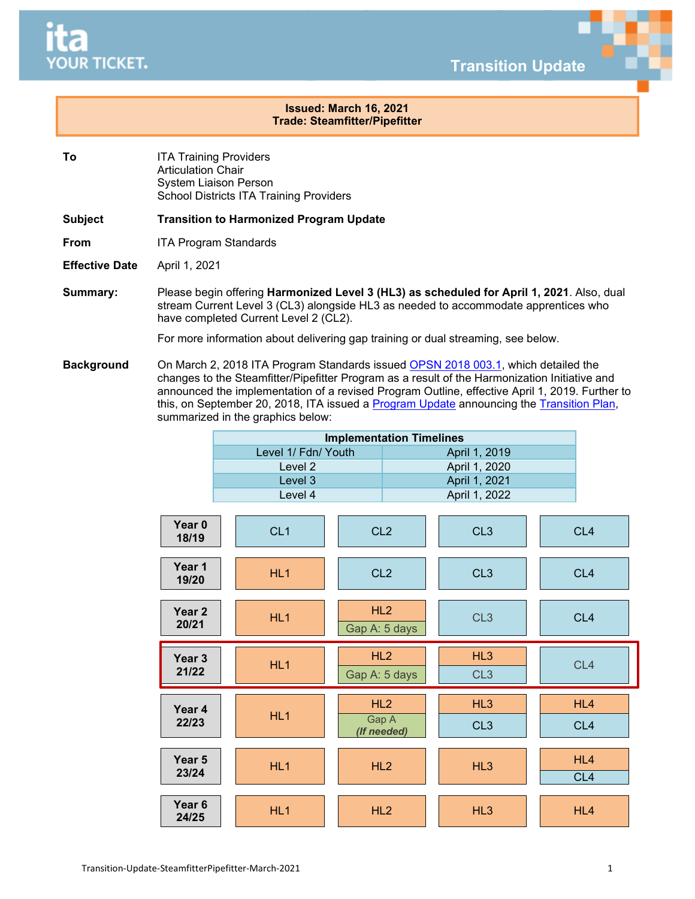

**Transition Update**

## **Issued: March 16, 2021 Trade: Steamfitter/Pipefitter**

- **To** ITA Training Providers Articulation Chair System Liaison Person School Districts ITA Training Providers
- **Subject Transition to Harmonized Program Update**
- **From** ITA Program Standards
- **Effective Date** April 1, 2021
- **Summary:** Please begin offering **Harmonized Level 3 (HL3) as scheduled for April 1, 2021**. Also, dual stream Current Level 3 (CL3) alongside HL3 as needed to accommodate apprentices who have completed Current Level 2 (CL2).

For more information about delivering gap training or dual streaming, see below.

**Background** On March 2, 2018 ITA Program Standards issued [OPSN 2018 003.1,](https://www.itabc.ca/sites/default/files/docs/OPSN-2018-003.1-Steamfitter.Pipefitter-Program-Outline-Update_0.pdf) which detailed the changes to the Steamfitter/Pipefitter Program as a result of the Harmonization Initiative and announced the implementation of a revised Program Outline, effective April 1, 2019. Further to this, on September 20, 2018, ITA issued a [Program Update](https://www.itabc.ca/sites/default/files/docs/Program-Update-Steamfitter-Pipefitter-September-20-2018_0.pdf) announcing the [Transition Plan,](https://www.itabc.ca/sites/default/files/docs/SFPF-Transition-Plan-Sept-2018.pdf) summarized in the graphics below:

| <b>Implementation Timelines</b> |               |  |  |  |
|---------------------------------|---------------|--|--|--|
| Level 1/ Fdn/ Youth             | April 1, 2019 |  |  |  |
| Level 2                         | April 1, 2020 |  |  |  |
| Level 3                         | April 1, 2021 |  |  |  |
| Level 4                         | April 1, 2022 |  |  |  |

| Year 0<br>18/19            | CL <sub>1</sub> | CL <sub>2</sub>             | CL <sub>3</sub>        | CL <sub>4</sub>        |
|----------------------------|-----------------|-----------------------------|------------------------|------------------------|
| Year 1<br>19/20            | HL1             | CL <sub>2</sub>             | CL <sub>3</sub>        | CL <sub>4</sub>        |
| Year <sub>2</sub><br>20/21 | HL1             | HL2<br>Gap A: 5 days        | CL <sub>3</sub>        | CL <sub>4</sub>        |
| Year <sub>3</sub><br>21/22 | HL1             | HL2<br>Gap A: 5 days        | HL3<br>CL <sub>3</sub> | CL <sub>4</sub>        |
| Year <sub>4</sub><br>22/23 | HL <sub>1</sub> | HL2<br>Gap A<br>(If needed) | HL3<br>CL <sub>3</sub> | HL4<br>CL <sub>4</sub> |
| Year <sub>5</sub><br>23/24 | HL1             | HL2                         | HL3                    | HL4<br>CL <sub>4</sub> |
| Year <sub>6</sub><br>24/25 | HL <sub>1</sub> | HL <sub>2</sub>             | HL3                    | HL4                    |